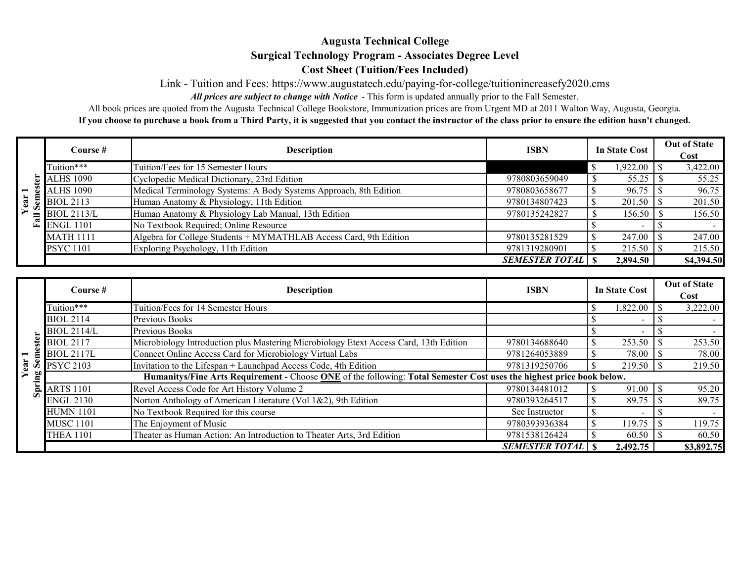## **Augusta Technical College Surgical Technology Program - Associates Degree Level Cost Sheet (Tuition/Fees Included)**

Link - Tuition and Fees:<https://www.augustatech.edu/paying-for-college/tuitionincreasefy2020.cms>

All prices are subject to change with Notice - This form is updated annually prior to the Fall Semester.

All prices are subject to change with Notice - This form is updated annually prior to the Fall Semester.<br>All book prices are quoted from the Augusta Technical College Bookstore, Immunization prices are from Urgent MD at 20 **If you choose to purchase a book from a Third Party, it is suggested that you contact the instructor of the class prior to ensure the edition hasn't changed.** 

|     | Course #                 | <b>Description</b>                                                | <b>ISBN</b>             | <b>In State Cost</b> | <b>Out of State</b> |
|-----|--------------------------|-------------------------------------------------------------------|-------------------------|----------------------|---------------------|
|     |                          |                                                                   |                         |                      | <b>Cost</b>         |
|     | Tuition***               | Tuition/Fees for 15 Semester Hours                                |                         | 1,922.00             | 3,422.00            |
|     | $\overline{5}$ ALHS 1090 | Cyclopedic Medical Dictionary, 23rd Edition                       | 9780803659049           | 55.25                | 55.25               |
|     | <b>ALHS 1090</b>         | Medical Terminology Systems: A Body Systems Approach, 8th Edition | 9780803658677           | 96.75                | 96.75               |
| ear | <b>BIOL 2113</b>         | Human Anatomy & Physiology, 11th Edition                          | 9780134807423           | 201.50               | 201.50              |
|     | $\equiv$ BIOL 2113/L     | Human Anatomy & Physiology Lab Manual, 13th Edition               | 9780135242827           | 156.50               | 156.50              |
|     | $\mathbb{E}$ ENGL 1101   | No Textbook Required; Online Resource                             |                         |                      |                     |
|     | <b>MATH 1111</b>         | Algebra for College Students + MYMATHLAB Access Card, 9th Edition | 9780135281529           | 247.00               | 247.00              |
|     | <b>PSYC</b> 1101         | Exploring Psychology, 11th Edition                                | 9781319280901           | 215.50               | 215.50              |
|     |                          |                                                                   | <b>SEMESTER TOTAL</b> S | 2,894.50             | \$4,394.50          |

|    | Course $#$                                                                                                            | <b>Description</b>                                                                    | <b>ISBN</b>           | In State Cost | <b>Out of State</b><br>Cost |  |  |  |  |
|----|-----------------------------------------------------------------------------------------------------------------------|---------------------------------------------------------------------------------------|-----------------------|---------------|-----------------------------|--|--|--|--|
|    | Tuition***                                                                                                            | Tuition/Fees for 14 Semester Hours                                                    |                       | 1,822.00      | 3,222.00                    |  |  |  |  |
|    | <b>BIOL 2114</b>                                                                                                      | Previous Books                                                                        |                       |               |                             |  |  |  |  |
|    | <b>BIOL 2114/L</b>                                                                                                    | Previous Books                                                                        |                       |               |                             |  |  |  |  |
|    | <b>BIOL 2117</b>                                                                                                      | Microbiology Introduction plus Mastering Microbiology Etext Access Card, 13th Edition | 9780134688640         | 253.50        | 253.50                      |  |  |  |  |
|    | <b>BIOL 2117L</b>                                                                                                     | Connect Online Access Card for Microbiology Virtual Labs                              | 9781264053889         | 78.00         | 78.00                       |  |  |  |  |
|    | <b>PSYC 2103</b>                                                                                                      | Invitation to the Lifespan + Launchpad Access Code, 4th Edition                       | 9781319250706         | 219.50        | 219.50                      |  |  |  |  |
| ≌" | Humanitys/Fine Arts Requirement - Choose ONE of the following: Total Semester Cost uses the highest price book below. |                                                                                       |                       |               |                             |  |  |  |  |
|    | <b>ARTS 1101</b>                                                                                                      | Revel Access Code for Art History Volume 2                                            | 9780134481012         | 91.00         | 95.20                       |  |  |  |  |
|    | <b>ENGL 2130</b>                                                                                                      | Norton Anthology of American Literature (Vol 1&2), 9th Edition                        | 9780393264517         | 89.75         | 89.75                       |  |  |  |  |
|    | <b>HUMN 1101</b>                                                                                                      | No Textbook Required for this course                                                  | See Instructor        |               |                             |  |  |  |  |
|    | <b>MUSC 1101</b>                                                                                                      | The Enjoyment of Music                                                                | 9780393936384         | 119.75        | 119.75                      |  |  |  |  |
|    | <b>THEA 1101</b>                                                                                                      | Theater as Human Action: An Introduction to Theater Arts, 3rd Edition                 | 9781538126424         |               | 60.50                       |  |  |  |  |
|    |                                                                                                                       |                                                                                       | <b>SEMESTER TOTAL</b> | 2,492.75      | \$3,892.75                  |  |  |  |  |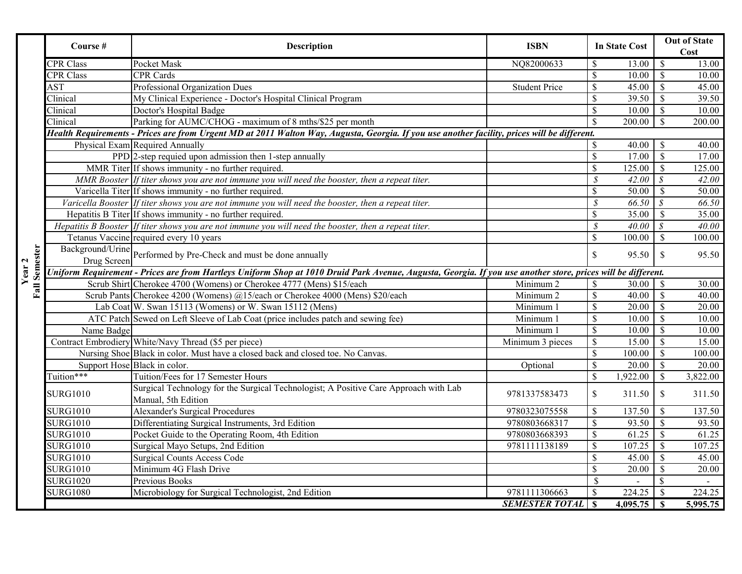|                      | Course #                                                                                                                                                     | Description                                                                                           | <b>ISBN</b>              |                           | <b>In State Cost</b> |                          | <b>Out of State</b><br>Cost |  |  |
|----------------------|--------------------------------------------------------------------------------------------------------------------------------------------------------------|-------------------------------------------------------------------------------------------------------|--------------------------|---------------------------|----------------------|--------------------------|-----------------------------|--|--|
|                      | <b>CPR</b> Class                                                                                                                                             | Pocket Mask                                                                                           | NQ82000633               | \$                        | 13.00                | $\mathbb S$              | 13.00                       |  |  |
|                      | <b>CPR Class</b>                                                                                                                                             | <b>CPR</b> Cards                                                                                      |                          | $\mathcal{S}$             | 10.00                | $\mathbf S$              | 10.00                       |  |  |
|                      | AST                                                                                                                                                          | Professional Organization Dues                                                                        | <b>Student Price</b>     | $\mathbf S$               | 45.00                | $\mathbb{S}$             | 45.00                       |  |  |
|                      | Clinical                                                                                                                                                     | My Clinical Experience - Doctor's Hospital Clinical Program                                           |                          | \$                        | 39.50                | \$                       | 39.50                       |  |  |
|                      | Clinical                                                                                                                                                     | Doctor's Hospital Badge                                                                               |                          | $\mathcal{S}$             | 10.00                | $\mathbb{S}$             | 10.00                       |  |  |
|                      | Clinical                                                                                                                                                     | Parking for AUMC/CHOG - maximum of 8 mths/\$25 per month                                              |                          | $\mathcal{S}$             | 200.00               | $\mathcal{S}$            | 200.00                      |  |  |
|                      | Health Requirements - Prices are from Urgent MD at 2011 Walton Way, Augusta, Georgia. If you use another facility, prices will be different.                 |                                                                                                       |                          |                           |                      |                          |                             |  |  |
|                      |                                                                                                                                                              | Physical Exam Required Annually                                                                       |                          | \$                        | 40.00                | \$                       | 40.00                       |  |  |
|                      |                                                                                                                                                              | PPD 2-step requied upon admission then 1-step annually                                                |                          | $\mathbb{S}$              | 17.00                | $\overline{\mathcal{S}}$ | 17.00                       |  |  |
|                      |                                                                                                                                                              | MMR Titer If shows immunity - no further required.                                                    |                          | $\mathcal{S}$             | 125.00               | $\mathbb{S}$             | 125.00                      |  |  |
|                      |                                                                                                                                                              | MMR Booster If titer shows you are not immune you will need the booster, then a repeat titer.         |                          | $\overline{\mathcal{S}}$  | 42.00                | $\mathcal{S}$            | 42.00                       |  |  |
|                      |                                                                                                                                                              | Varicella Titer If shows immunity - no further required.                                              |                          | $\mathbb{S}$              | 50.00                | $\mathcal{S}$            | 50.00                       |  |  |
|                      |                                                                                                                                                              | Varicella Booster If titer shows you are not immune you will need the booster, then a repeat titer.   |                          | $\mathcal{S}$             | 66.50                | $\mathcal{S}$            | 66.50                       |  |  |
|                      |                                                                                                                                                              | Hepatitis B Titer If shows immunity - no further required.                                            |                          | \$                        | 35.00                | $\mathbb{S}$             | 35.00                       |  |  |
|                      |                                                                                                                                                              | Hepatitis B Booster If titer shows you are not immune you will need the booster, then a repeat titer. |                          | $\mathcal S$              | 40.00                | S                        | 40.00                       |  |  |
|                      |                                                                                                                                                              | Tetanus Vaccine required every 10 years                                                               |                          | $\mathbb{S}$              | 100.00               | $\mathcal{S}$            | 100.00                      |  |  |
|                      |                                                                                                                                                              | Background/Urine Performed by Pre-Check and must be done annually                                     |                          | $\mathbb{S}$              | 95.50                | $\mathbb{S}$             | 95.50                       |  |  |
|                      |                                                                                                                                                              |                                                                                                       |                          |                           |                      |                          |                             |  |  |
| <b>Fall Semester</b> | Uniform Requirement - Prices are from Hartleys Uniform Shop at 1010 Druid Park Avenue, Augusta, Georgia. If you use another store, prices will be different. |                                                                                                       |                          |                           |                      |                          |                             |  |  |
|                      |                                                                                                                                                              | Scrub Shirt Cherokee 4700 (Womens) or Cherokee 4777 (Mens) \$15/each                                  | Minimum 2                | \$                        | 30.00                | $\mathbb{S}$             | 30.00                       |  |  |
|                      |                                                                                                                                                              | Scrub Pants Cherokee 4200 (Womens) @15/each or Cherokee 4000 (Mens) \$20/each                         | Minimum <sub>2</sub>     | $\mathbb{S}$              | 40.00                | $\mathbb{S}$             | 40.00                       |  |  |
|                      |                                                                                                                                                              | Lab Coat W. Swan 15113 (Womens) or W. Swan 15112 (Mens)                                               | Minimum 1                | $\mathcal{S}$             | 20.00                | $\sqrt{\ }$              | 20.00                       |  |  |
|                      |                                                                                                                                                              | ATC Patch Sewed on Left Sleeve of Lab Coat (price includes patch and sewing fee)                      | Minimum 1                | $\overline{\mathcal{S}}$  | 10.00                | $\overline{\mathcal{S}}$ | 10.00                       |  |  |
|                      | Name Badge                                                                                                                                                   |                                                                                                       | Minimum 1                | $\mathbb{S}$              | 10.00                | $\overline{\mathcal{S}}$ | 10.00                       |  |  |
|                      |                                                                                                                                                              | Contract Embrodiery White/Navy Thread (\$5 per piece)                                                 | Minimum 3 pieces         | $\mathbb{S}$              | 15.00                | $\overline{\mathcal{S}}$ | 15.00                       |  |  |
|                      |                                                                                                                                                              | Nursing Shoe Black in color. Must have a closed back and closed toe. No Canvas.                       |                          | $\mathbb{S}$              | 100.00               | $\mathbb{S}$             | 100.00                      |  |  |
|                      |                                                                                                                                                              | Support Hose Black in color.                                                                          | Optional                 | \$                        | 20.00                | $\sqrt{\ }$              | 20.00                       |  |  |
|                      | Tuition***                                                                                                                                                   | Tuition/Fees for 17 Semester Hours                                                                    |                          | $\mathbb{S}$              | 1,922.00             | $\mathcal{S}$            | 3,822.00                    |  |  |
|                      | <b>SURG1010</b>                                                                                                                                              | Surgical Technology for the Surgical Technologist; A Positive Care Approach with Lab                  | 9781337583473            | \$                        | 311.50               | $\mathcal{S}$            | 311.50                      |  |  |
|                      |                                                                                                                                                              | Manual, 5th Edition                                                                                   |                          |                           |                      |                          |                             |  |  |
|                      | <b>SURG1010</b>                                                                                                                                              | <b>Alexander's Surgical Procedures</b>                                                                | 9780323075558            | \$                        | 137.50               | \$                       | 137.50                      |  |  |
|                      | <b>SURG1010</b>                                                                                                                                              | Differentiating Surgical Instruments, 3rd Edition                                                     | 9780803668317            | $\mathcal{S}$             | 93.50                | $\mathbb{S}$             | 93.50                       |  |  |
|                      | <b>SURG1010</b>                                                                                                                                              | Pocket Guide to the Operating Room, 4th Edition                                                       | 9780803668393            | $\mathbb{S}$              | 61.25                | $\overline{\mathcal{S}}$ | 61.25                       |  |  |
|                      | <b>SURG1010</b>                                                                                                                                              | Surgical Mayo Setups, 2nd Edition                                                                     | 9781111138189            | $\mathbb{S}$              | 107.25               | $\overline{\mathcal{S}}$ | 107.25                      |  |  |
|                      | <b>SURG1010</b>                                                                                                                                              | <b>Surgical Counts Access Code</b>                                                                    |                          | $\mathbb{S}$              | 45.00                | $\overline{\mathcal{S}}$ | 45.00                       |  |  |
|                      | <b>SURG1010</b>                                                                                                                                              | Minimum 4G Flash Drive                                                                                |                          | $\mathbb{S}$              | 20.00                | $\mathcal{S}$            | 20.00                       |  |  |
|                      | <b>SURG1020</b>                                                                                                                                              | Previous Books                                                                                        |                          | $\mathbb{S}$              |                      | \$                       |                             |  |  |
|                      | <b>SURG1080</b>                                                                                                                                              | Microbiology for Surgical Technologist, 2nd Edition                                                   | 9781111306663            | $\boldsymbol{\mathsf{S}}$ | 224.25               | $\mathcal{S}$            | 224.25                      |  |  |
|                      |                                                                                                                                                              |                                                                                                       | <b>SEMESTER TOTAL</b> \$ |                           | 4,095.75             | $\mathbf{s}$             | 5,995.75                    |  |  |

**Year 2**